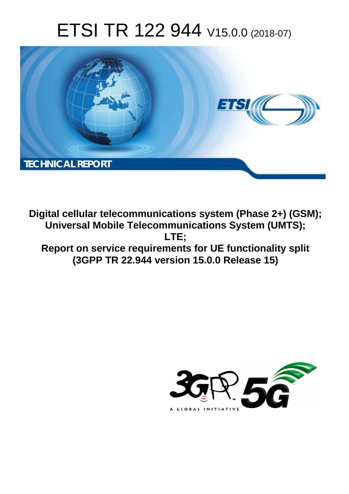# ETSI TR 122 944 V15.0.0 (2018-07)



**Digital cellular telecommunications system (Phase 2+) (GSM); Universal Mobile Telecommunications System (UMTS); LTE; Report on service requirements for UE functionality split (3GPP TR 22.944 version 15.0.0 Release 15)** 

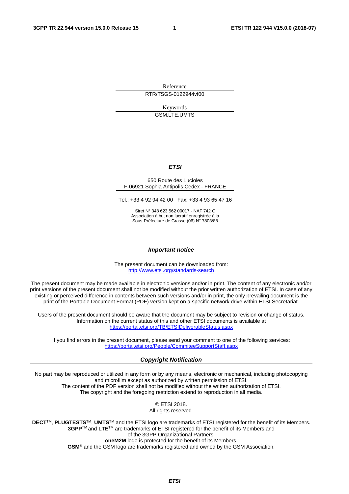Reference

RTR/TSGS-0122944vf00

Keywords GSM,LTE,UMTS

### *ETSI*

### 650 Route des Lucioles F-06921 Sophia Antipolis Cedex - FRANCE

Tel.: +33 4 92 94 42 00 Fax: +33 4 93 65 47 16

Siret N° 348 623 562 00017 - NAF 742 C Association à but non lucratif enregistrée à la Sous-Préfecture de Grasse (06) N° 7803/88

### *Important notice*

The present document can be downloaded from: <http://www.etsi.org/standards-search>

The present document may be made available in electronic versions and/or in print. The content of any electronic and/or print versions of the present document shall not be modified without the prior written authorization of ETSI. In case of any existing or perceived difference in contents between such versions and/or in print, the only prevailing document is the print of the Portable Document Format (PDF) version kept on a specific network drive within ETSI Secretariat.

Users of the present document should be aware that the document may be subject to revision or change of status. Information on the current status of this and other ETSI documents is available at <https://portal.etsi.org/TB/ETSIDeliverableStatus.aspx>

If you find errors in the present document, please send your comment to one of the following services: <https://portal.etsi.org/People/CommiteeSupportStaff.aspx>

### *Copyright Notification*

No part may be reproduced or utilized in any form or by any means, electronic or mechanical, including photocopying and microfilm except as authorized by written permission of ETSI. The content of the PDF version shall not be modified without the written authorization of ETSI. The copyright and the foregoing restriction extend to reproduction in all media.

> © ETSI 2018. All rights reserved.

**DECT**TM, **PLUGTESTS**TM, **UMTS**TM and the ETSI logo are trademarks of ETSI registered for the benefit of its Members. **3GPP**TM and **LTE**TM are trademarks of ETSI registered for the benefit of its Members and of the 3GPP Organizational Partners. **oneM2M** logo is protected for the benefit of its Members.

**GSM**® and the GSM logo are trademarks registered and owned by the GSM Association.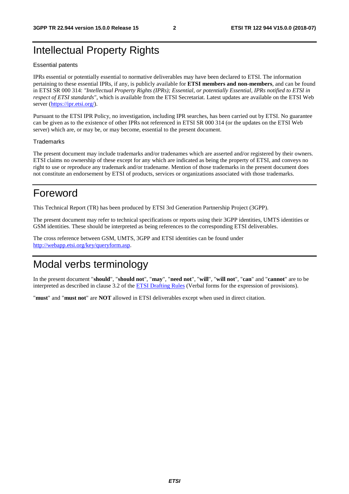## Intellectual Property Rights

### Essential patents

IPRs essential or potentially essential to normative deliverables may have been declared to ETSI. The information pertaining to these essential IPRs, if any, is publicly available for **ETSI members and non-members**, and can be found in ETSI SR 000 314: *"Intellectual Property Rights (IPRs); Essential, or potentially Essential, IPRs notified to ETSI in respect of ETSI standards"*, which is available from the ETSI Secretariat. Latest updates are available on the ETSI Web server ([https://ipr.etsi.org/\)](https://ipr.etsi.org/).

Pursuant to the ETSI IPR Policy, no investigation, including IPR searches, has been carried out by ETSI. No guarantee can be given as to the existence of other IPRs not referenced in ETSI SR 000 314 (or the updates on the ETSI Web server) which are, or may be, or may become, essential to the present document.

### **Trademarks**

The present document may include trademarks and/or tradenames which are asserted and/or registered by their owners. ETSI claims no ownership of these except for any which are indicated as being the property of ETSI, and conveys no right to use or reproduce any trademark and/or tradename. Mention of those trademarks in the present document does not constitute an endorsement by ETSI of products, services or organizations associated with those trademarks.

## Foreword

This Technical Report (TR) has been produced by ETSI 3rd Generation Partnership Project (3GPP).

The present document may refer to technical specifications or reports using their 3GPP identities, UMTS identities or GSM identities. These should be interpreted as being references to the corresponding ETSI deliverables.

The cross reference between GSM, UMTS, 3GPP and ETSI identities can be found under [http://webapp.etsi.org/key/queryform.asp.](http://webapp.etsi.org/key/queryform.asp)

## Modal verbs terminology

In the present document "**should**", "**should not**", "**may**", "**need not**", "**will**", "**will not**", "**can**" and "**cannot**" are to be interpreted as described in clause 3.2 of the [ETSI Drafting Rules](https://portal.etsi.org/Services/editHelp!/Howtostart/ETSIDraftingRules.aspx) (Verbal forms for the expression of provisions).

"**must**" and "**must not**" are **NOT** allowed in ETSI deliverables except when used in direct citation.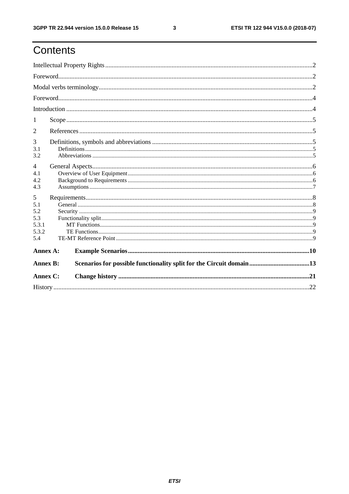ETSI TR 122 944 V15.0.0 (2018-07)

## Contents

| 1               |  |                                                                     |  |  |  |  |
|-----------------|--|---------------------------------------------------------------------|--|--|--|--|
| $\overline{2}$  |  |                                                                     |  |  |  |  |
| 3               |  |                                                                     |  |  |  |  |
| 3.1<br>3.2      |  |                                                                     |  |  |  |  |
| $\overline{4}$  |  |                                                                     |  |  |  |  |
| 4.1             |  |                                                                     |  |  |  |  |
| 4.2             |  |                                                                     |  |  |  |  |
| 4.3             |  |                                                                     |  |  |  |  |
| 5               |  |                                                                     |  |  |  |  |
| 5.1             |  |                                                                     |  |  |  |  |
| 5.2             |  |                                                                     |  |  |  |  |
| 5.3             |  |                                                                     |  |  |  |  |
| 5.3.1           |  |                                                                     |  |  |  |  |
| 5.3.2<br>5.4    |  |                                                                     |  |  |  |  |
|                 |  |                                                                     |  |  |  |  |
| Annex A:        |  |                                                                     |  |  |  |  |
| <b>Annex B:</b> |  | Scenarios for possible functionality split for the Circuit domain13 |  |  |  |  |
| Annex C:        |  |                                                                     |  |  |  |  |
|                 |  |                                                                     |  |  |  |  |

 $\mathbf{3}$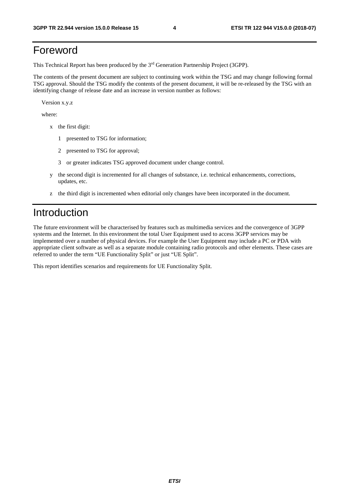## Foreword

This Technical Report has been produced by the 3rd Generation Partnership Project (3GPP).

The contents of the present document are subject to continuing work within the TSG and may change following formal TSG approval. Should the TSG modify the contents of the present document, it will be re-released by the TSG with an identifying change of release date and an increase in version number as follows:

Version x.y.z

where:

- x the first digit:
	- 1 presented to TSG for information;
	- 2 presented to TSG for approval;
	- 3 or greater indicates TSG approved document under change control.
- y the second digit is incremented for all changes of substance, i.e. technical enhancements, corrections, updates, etc.
- z the third digit is incremented when editorial only changes have been incorporated in the document.

## Introduction

The future environment will be characterised by features such as multimedia services and the convergence of 3GPP systems and the Internet. In this environment the total User Equipment used to access 3GPP services may be implemented over a number of physical devices. For example the User Equipment may include a PC or PDA with appropriate client software as well as a separate module containing radio protocols and other elements. These cases are referred to under the term "UE Functionality Split" or just "UE Split".

This report identifies scenarios and requirements for UE Functionality Split.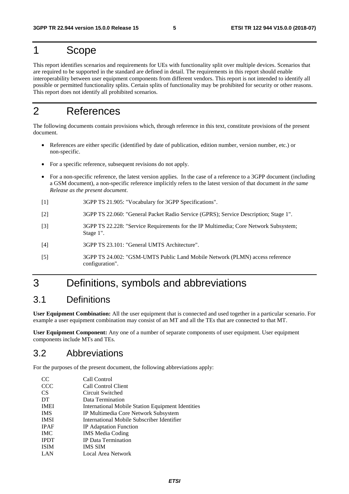## 1 Scope

This report identifies scenarios and requirements for UEs with functionality split over multiple devices. Scenarios that are required to be supported in the standard are defined in detail. The requirements in this report should enable interoperability between user equipment components from different vendors. This report is not intended to identify all possible or permitted functionality splits. Certain splits of functionality may be prohibited for security or other reasons. This report does not identify all prohibited scenarios.

## 2 References

The following documents contain provisions which, through reference in this text, constitute provisions of the present document.

- References are either specific (identified by date of publication, edition number, version number, etc.) or non-specific.
- For a specific reference, subsequent revisions do not apply.
- For a non-specific reference, the latest version applies. In the case of a reference to a 3GPP document (including a GSM document), a non-specific reference implicitly refers to the latest version of that document *in the same Release as the present document*.
- [1] 3GPP TS 21.905: "Vocabulary for 3GPP Specifications".
- [2] 3GPP TS 22.060: "General Packet Radio Service (GPRS); Service Description; Stage 1".
- [3] 3GPP TS 22.228: "Service Requirements for the IP Multimedia; Core Network Subsystem; Stage 1".
- [4] 3GPP TS 23.101: "General UMTS Architecture".
- [5] 3GPP TS 24.002: "GSM-UMTS Public Land Mobile Network (PLMN) access reference configuration".

## 3 Definitions, symbols and abbreviations

## 3.1 Definitions

**User Equipment Combination:** All the user equipment that is connected and used together in a particular scenario. For example a user equipment combination may consist of an MT and all the TEs that are connected to that MT.

**User Equipment Component:** Any one of a number of separate components of user equipment. User equipment components include MTs and TEs.

## 3.2 Abbreviations

For the purposes of the present document, the following abbreviations apply:

| <sub>CC</sub> | Call Control                                      |
|---------------|---------------------------------------------------|
| <b>CCC</b>    | Call Control Client                               |
| <b>CS</b>     | Circuit Switched                                  |
| DT            | Data Termination                                  |
| <b>IMEI</b>   | International Mobile Station Equipment Identities |
| <b>IMS</b>    | IP Multimedia Core Network Subsystem              |
| <b>IMSI</b>   | International Mobile Subscriber Identifier        |
| <b>IPAF</b>   | <b>IP</b> Adaptation Function                     |
| <b>IMC</b>    | <b>IMS</b> Media Coding                           |
| <b>IPDT</b>   | <b>IP</b> Data Termination                        |
| <b>ISIM</b>   | <b>IMS SIM</b>                                    |
| LAN           | Local Area Network                                |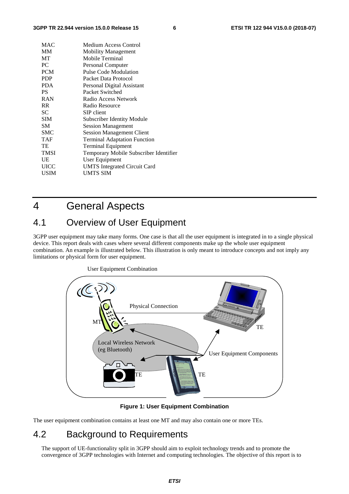| MAC         | Medium Access Control                  |
|-------------|----------------------------------------|
| MМ          | <b>Mobility Management</b>             |
| MT          | Mobile Terminal                        |
| PC          | Personal Computer                      |
| <b>PCM</b>  | <b>Pulse Code Modulation</b>           |
| <b>PDP</b>  | Packet Data Protocol                   |
| PDA         | Personal Digital Assistant             |
| PS          | Packet Switched                        |
| RAN         | Radio Access Network                   |
| <b>RR</b>   | Radio Resource                         |
| SС          | SIP client                             |
| <b>SIM</b>  | Subscriber Identity Module             |
| SМ          | <b>Session Management</b>              |
| SMC         | <b>Session Management Client</b>       |
| <b>TAF</b>  | <b>Terminal Adaptation Function</b>    |
| TE          | <b>Terminal Equipment</b>              |
| <b>TMSI</b> | Temporary Mobile Subscriber Identifier |
| UE          | User Equipment                         |
| <b>UICC</b> | <b>UMTS</b> Integrated Circuit Card    |
| <b>USIM</b> | UMTS SIM                               |
|             |                                        |

## 4 General Aspects

## 4.1 Overview of User Equipment

3GPP user equipment may take many forms. One case is that all the user equipment is integrated in to a single physical device. This report deals with cases where several different components make up the whole user equipment combination. An example is illustrated below. This illustration is only meant to introduce concepts and not imply any limitations or physical form for user equipment.



User Equipment Combination

### **Figure 1: User Equipment Combination**

The user equipment combination contains at least one MT and may also contain one or more TEs.

## 4.2 Background to Requirements

The support of UE-functionality split in 3GPP should aim to exploit technology trends and to promote the convergence of 3GPP technologies with Internet and computing technologies. The objective of this report is to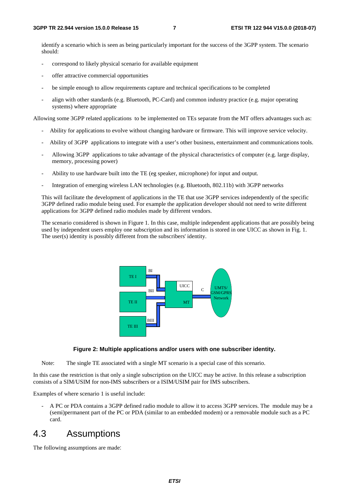identify a scenario which is seen as being particularly important for the success of the 3GPP system. The scenario should:

- correspond to likely physical scenario for available equipment
- offer attractive commercial opportunities
- be simple enough to allow requirements capture and technical specifications to be completed
- align with other standards (e.g. Bluetooth, PC-Card) and common industry practice (e.g. major operating systems) where appropriate

Allowing some 3GPP related applications to be implemented on TEs separate from the MT offers advantages such as:

- Ability for applications to evolve without changing hardware or firmware. This will improve service velocity.
- Ability of 3GPP applications to integrate with a user's other business, entertainment and communications tools.
- Allowing 3GPP applications to take advantage of the physical characteristics of computer (e.g. large display, memory, processing power)
- Ability to use hardware built into the TE (eg speaker, microphone) for input and output.
- Integration of emerging wireless LAN technologies (e.g. Bluetooth, 802.11b) with 3GPP networks

This will facilitate the development of applications in the TE that use 3GPP services independently of the specific 3GPP defined radio module being used. For example the application developer should not need to write different applications for 3GPP defined radio modules made by different vendors.

The scenario considered is shown in Figure 1. In this case, multiple independent applications that are possibly being used by independent users employ one subscription and its information is stored in one UICC as shown in Fig. 1. The user(s) identity is possibly different from the subscribers' identity.



### **Figure 2: Multiple applications and/or users with one subscriber identity.**

Note: The single TE associated with a single MT scenario is a special case of this scenario.

In this case the restriction is that only a single subscription on the UICC may be active. In this release a subscription consists of a SIM/USIM for non-IMS subscribers or a ISIM/USIM pair for IMS subscribers.

Examples of where scenario 1 is useful include:

- A PC or PDA contains a 3GPP defined radio module to allow it to access 3GPP services. The module may be a (semi)permanent part of the PC or PDA (similar to an embedded modem) or a removable module such as a PC card.

## 4.3 Assumptions

The following assumptions are made: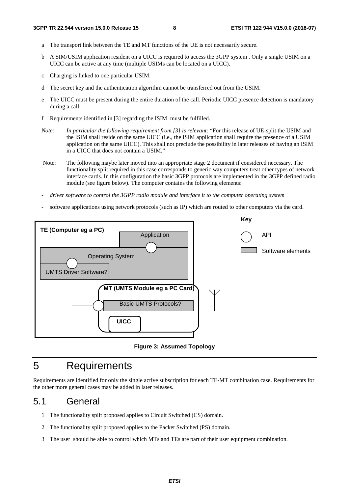- a The transport link between the TE and MT functions of the UE is not necessarily secure.
- b A SIM/USIM application resident on a UICC is required to access the 3GPP system . Only a single USIM on a UICC can be active at any time (multiple USIMs can be located on a UICC).
- c Charging is linked to one particular USIM.
- d The secret key and the authentication algorithm cannot be transferred out from the USIM.
- e The UICC must be present during the entire duration of the call. Periodic UICC presence detection is mandatory during a call.
- f Requirements identified in [3] regarding the ISIM must be fulfilled.
- *Note: In particular the following requirement from [3] is relevant:* "For this release of UE-split the USIM and the ISIM shall reside on the same UICC (i.e., the ISIM application shall require the presence of a USIM application on the same UICC). This shall not preclude the possibility in later releases of having an ISIM in a UICC that does not contain a USIM."
- Note: The following maybe later moved into an appropriate stage 2 document if considered necessary. The functionality split required in this case corresponds to generic way computers treat other types of network interface cards. In this configuration the basic 3GPP protocols are implemented in the 3GPP defined radio module (see figure below). The computer contains the following elements:
- *driver software to control the 3GPP radio module and interface it to the computer operating system*
- software applications using network protocols (such as IP) which are routed to other computers via the card.



**Figure 3: Assumed Topology** 

## 5 Requirements

Requirements are identified for only the single active subscription for each TE-MT combination case. Requirements for the other more general cases may be added in later releases.

## 5.1 General

- 1 The functionality split proposed applies to Circuit Switched (CS) domain.
- 2 The functionality split proposed applies to the Packet Switched (PS) domain.
- 3 The user should be able to control which MTs and TEs are part of their user equipment combination.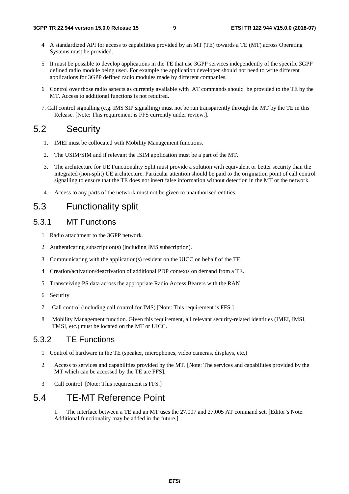- 4 A standardized API for access to capabilities provided by an MT (TE) towards a TE (MT) across Operating Systems must be provided.
- 5 It must be possible to develop applications in the TE that use 3GPP services independently of the specific 3GPP defined radio module being used. For example the application developer should not need to write different applications for 3GPP defined radio modules made by different companies.
- 6 Control over those radio aspects as currently available with AT commands should be provided to the TE by the MT. Access to additional functions is not required.
- 7. Call control signalling (e.g. IMS SIP signalling) must not be run transparently through the MT by the TE in this Release. [Note: This requirement is FFS currently under review.].

## 5.2 Security

- 1. IMEI must be collocated with Mobility Management functions.
- 2. The USIM/SIM and if relevant the ISIM application must be a part of the MT.
- 3. The architecture for UE Functionality Split must provide a solution with equivalent or better security than the integrated (non-split) UE architecture. Particular attention should be paid to the origination point of call control signalling to ensure that the TE does not insert false information without detection in the MT or the network.
- 4. Access to any parts of the network must not be given to unauthorised entities.

## 5.3 Functionality split

## 5.3.1 MT Functions

- 1 Radio attachment to the 3GPP network.
- 2 Authenticating subscription(s) (including IMS subscription).
- 3 Communicating with the application(s) resident on the UICC on behalf of the TE.
- 4 Creation/activation/deactivation of additional PDP contexts on demand from a TE.
- 5 Transceiving PS data across the appropriate Radio Access Bearers with the RAN
- 6 Security
- 7 Call control (including call control for IMS) [Note: This requirement is FFS.]
- 8 Mobility Management function. Given this requirement, all relevant security-related identities (IMEI, IMSI, TMSI, etc.) must be located on the MT or UICC.

## 5.3.2 TE Functions

- 1 Control of hardware in the TE (speaker, microphones, video cameras, displays, etc.)
- 2 Access to services and capabilities provided by the MT. [Note: The services and capabilities provided by the MT which can be accessed by the TE are FFS].
- 3 Call control [Note: This requirement is FFS.]

## 5.4 TE-MT Reference Point

1. The interface between a TE and an MT uses the 27.007 and 27.005 AT command set. [Editor's Note: Additional functionality may be added in the future.]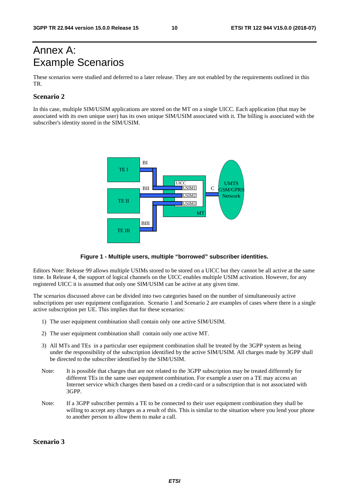## Annex A: Example Scenarios

These scenarios were studied and deferred to a later release. They are not enabled by the requirements outlined in this TR.

### **Scenario 2**

In this case, multiple SIM/USIM applications are stored on the MT on a single UICC. Each application (that may be associated with its own unique user) has its own unique SIM/USIM associated with it. The billing is associated with the subscriber's identity stored in the SIM/USIM.



### **Figure 1 - Multiple users, multiple "borrowed" subscriber identities.**

Editors Note: Release 99 allows multiple USIMs stored to be stored on a UICC but they cannot be all active at the same time. In Release 4, the support of logical channels on the UICC enables multiple USIM activation. However, for any registered UICC it is assumed that only one SIM/USIM can be active at any given time.

The scenarios discussed above can be divided into two categories based on the number of simultaneously active subscriptions per user equipment configuration. Scenario 1 and Scenario 2 are examples of cases where there is a single active subscription per UE. This implies that for these scenarios:

- 1) The user equipment combination shall contain only one active SIM/USIM.
- 2) The user equipment combination shall contain only one active MT.
- 3) All MTs and TEs in a particular user equipment combination shall be treated by the 3GPP system as being under the responsibility of the subscription identified by the active SIM/USIM. All charges made by 3GPP shall be directed to the subscriber identified by the SIM/USIM.
- Note: It is possible that charges that are not related to the 3GPP subscription may be treated differently for different TEs in the same user equipment combination. For example a user on a TE may access an Internet service which charges them based on a credit-card or a subscription that is not associated with 3GPP.
- Note: If a 3GPP subscriber permits a TE to be connected to their user equipment combination they shall be willing to accept any charges as a result of this. This is similar to the situation where you lend your phone to another person to allow them to make a call.

### **Scenario 3**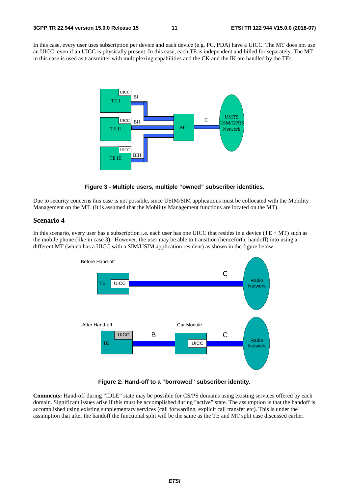In this case, every user uses subscription per device and each device (e.g. PC, PDA) have a UICC. The MT does not use an UICC, even if an UICC is physically present. In this case, each TE is independent and billed for separately. The MT in this case is used as transmitter with multiplexing capabilities and the CK and the IK are handled by the TEs





Due to security concerns this case is not possible, since USIM/SIM applications must be collocated with the Mobility Management on the MT. (It is assumed that the Mobility Management functions are located on the MT).

### **Scenario 4**

In this scenario, every user has a subscription i.e. each user has one UICC that resides in a device  $(TE + MT)$  such as the mobile phone (like in case 3). However, the user may be able to transition (henceforth, handoff) into using a different MT (which has a UICC with a SIM/USIM application resident) as shown in the figure below.





**Comments:** Hand-off during "IDLE" state may be possible for CS/PS domains using existing services offered by each domain. Significant issues arise if this must be accomplished during "active" state. The assumption is that the handoff is accomplished using existing supplementary services (call forwarding, explicit call transfer etc). This is under the assumption that after the handoff the functional split will be the same as the TE and MT split case discussed earlier.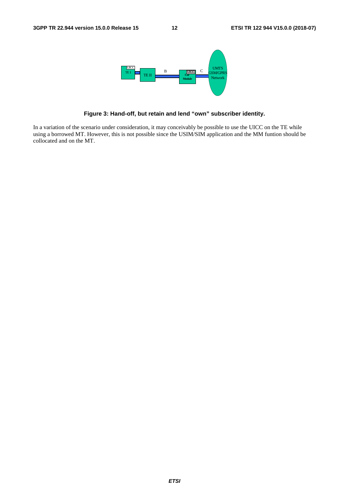

**Figure 3: Hand-off, but retain and lend "own" subscriber identity.** 

In a variation of the scenario under consideration, it may conceivably be possible to use the UICC on the TE while using a borrowed MT. However, this is not possible since the USIM/SIM application and the MM funtion should be collocated and on the MT.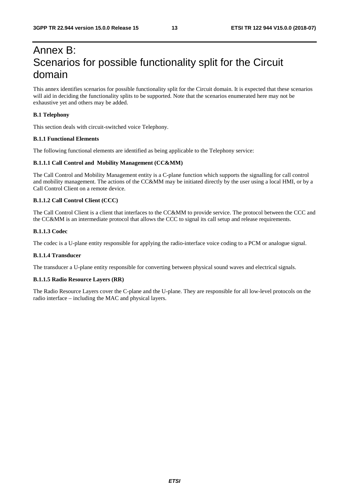## Annex B: Scenarios for possible functionality split for the Circuit domain

This annex identifies scenarios for possible functionality split for the Circuit domain. It is expected that these scenarios will aid in deciding the functionality splits to be supported. Note that the scenarios enumerated here may not be exhaustive yet and others may be added.

### **B.1 Telephony**

This section deals with circuit-switched voice Telephony.

### **B.1.1 Functional Elements**

The following functional elements are identified as being applicable to the Telephony service:

### **B.1.1.1 Call Control and Mobility Management (CC&MM)**

The Call Control and Mobility Management entity is a C-plane function which supports the signalling for call control and mobility management. The actions of the CC&MM may be initiated directly by the user using a local HMI, or by a Call Control Client on a remote device.

### **B.1.1.2 Call Control Client (CCC)**

The Call Control Client is a client that interfaces to the CC&MM to provide service. The protocol between the CCC and the CC&MM is an intermediate protocol that allows the CCC to signal its call setup and release requirements.

### **B.1.1.3 Codec**

The codec is a U-plane entity responsible for applying the radio-interface voice coding to a PCM or analogue signal.

### **B.1.1.4 Transducer**

The transducer a U-plane entity responsible for converting between physical sound waves and electrical signals.

### **B.1.1.5 Radio Resource Layers (RR)**

The Radio Resource Layers cover the C-plane and the U-plane. They are responsible for all low-level protocols on the radio interface – including the MAC and physical layers.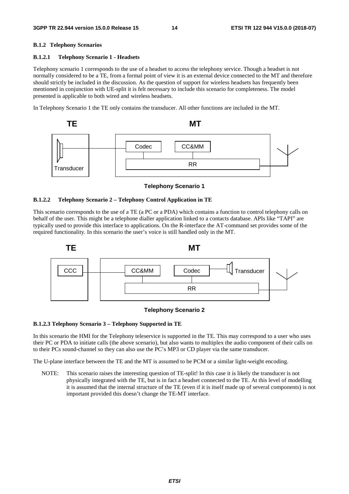### **B.1.2 Telephony Scenarios**

### **B.1.2.1 Telephony Scenario 1 - Headsets**

Telephony scenario 1 corresponds to the use of a headset to access the telephony service. Though a headset is not normally considered to be a TE, from a formal point of view it is an external device connected to the MT and therefore should strictly be included in the discussion. As the question of support for wireless headsets has frequently been mentioned in conjunction with UE-split it is felt necessary to include this scenario for completeness. The model presented is applicable to both wired and wireless headsets.

In Telephony Scenario 1 the TE only contains the transducer. All other functions are included in the MT.



### **Telephony Scenario 1**

### **B.1.2.2 Telephony Scenario 2 – Telephony Control Application in TE**

This scenario corresponds to the use of a TE (a PC or a PDA) which contains a function to control telephony calls on behalf of the user. This might be a telephone dialler application linked to a contacts database. APIs like "TAPI" are typically used to provide this interface to applications. On the R-interface the AT-command set provides some of the required functionality. In this scenario the user's voice is still handled only in the MT.





### **B.1.2.3 Telephony Scenario 3 – Telephony Supported in TE**

In this scenario the HMI for the Telephony teleservice is supported in the TE. This may correspond to a user who uses their PC or PDA to initiate calls (the above scenario), but also wants to multiplex the audio component of their calls on to their PCs sound-channel so they can also use the PC's MP3 or CD player via the same transducer.

The U-plane interface between the TE and the MT is assumed to be PCM or a similar light-weight encoding.

NOTE: This scenario raises the interesting question of TE-split! In this case it is likely the transducer is not physically integrated with the TE, but is in fact a headset connected to the TE. At this level of modelling it is assumed that the internal structure of the TE (even if it is itself made up of several components) is not important provided this doesn't change the TE-MT interface.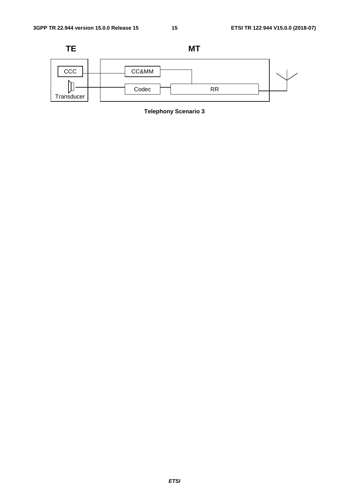

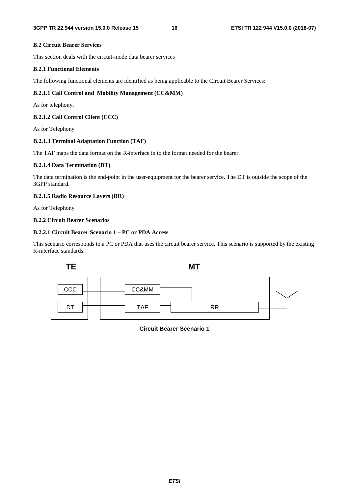### **B.2 Circuit Bearer Services**

This section deals with the circuit-mode data bearer services

### **B.2.1 Functional Elements**

The following functional elements are identified as being applicable to the Circuit Bearer Services:

### **B.2.1.1 Call Control and Mobility Management (CC&MM)**

As for telephony.

### **B.2.1.2 Call Control Client (CCC)**

As for Telephony

### **B.2.1.3 Terminal Adaptation Function (TAF)**

The TAF maps the data format on the R-interface in to the format needed for the bearer.

### **B.2.1.4 Data Termination (DT)**

The data termination is the end-point in the user-equipment for the bearer service. The DT is outside the scope of the 3GPP standard.

### **B.2.1.5 Radio Resource Layers (RR)**

As for Telephony

### **B.2.2 Circuit Bearer Scenarios**

### **B.2.2.1 Circuit Bearer Scenario 1 – PC or PDA Access**

This scenario corresponds to a PC or PDA that uses the circuit bearer service. This scenario is supported by the existing R-interface standards.



**Circuit Bearer Scenario 1**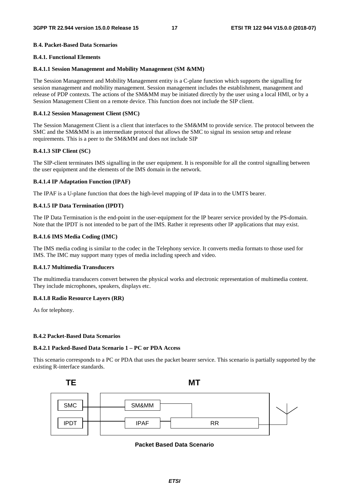### **B**.**4. Packet-Based Data Scenarios**

### **B.4.1. Functional Elements**

### **B.4.1.1 Session Management and Mobility Management (SM &MM)**

The Session Management and Mobility Management entity is a C-plane function which supports the signalling for session management and mobility management. Session management includes the establishment, management and release of PDP contexts. The actions of the SM&MM may be initiated directly by the user using a local HMI, or by a Session Management Client on a remote device. This function does not include the SIP client.

### **B.4.1.2 Session Management Client (SMC)**

The Session Management Client is a client that interfaces to the SM&MM to provide service. The protocol between the SMC and the SM&MM is an intermediate protocol that allows the SMC to signal its session setup and release requirements. This is a peer to the SM&MM and does not include SIP

### **B.4.1.3 SIP Client (SC)**

The SIP-client terminates IMS signalling in the user equipment. It is responsible for all the control signalling between the user equipment and the elements of the IMS domain in the network.

### **B.4.1.4 IP Adaptation Function (IPAF)**

The IPAF is a U-plane function that does the high-level mapping of IP data in to the UMTS bearer.

### **B.4.1.5 IP Data Termination (IPDT)**

The IP Data Termination is the end-point in the user-equipment for the IP bearer service provided by the PS-domain. Note that the IPDT is not intended to be part of the IMS. Rather it represents other IP applications that may exist.

### **B.4.1.6 IMS Media Coding (IMC)**

The IMS media coding is similar to the codec in the Telephony service. It converts media formats to those used for IMS. The IMC may support many types of media including speech and video.

### **B.4.1.7 Multimedia Transducers**

The multimedia transducers convert between the physical works and electronic representation of multimedia content. They include microphones, speakers, displays etc.

### **B.4.1.8 Radio Resource Layers (RR)**

As for telephony.

### **B.4.2 Packet-Based Data Scenarios**

### **B.4.2.1 Packed-Based Data Scenario 1 – PC or PDA Access**

This scenario corresponds to a PC or PDA that uses the packet bearer service. This scenario is partially supported by the existing R-interface standards.



**Packet Based Data Scenario**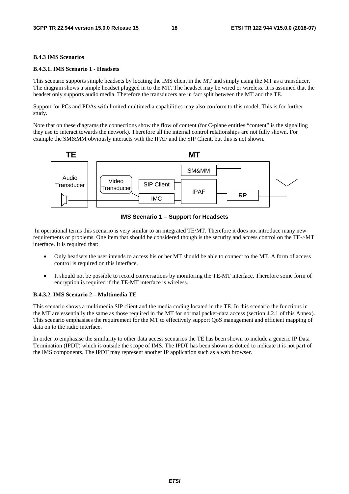### **B.4.3 IMS Scenarios**

### **B.4.3.1. IMS Scenario 1 - Headsets**

This scenario supports simple headsets by locating the IMS client in the MT and simply using the MT as a transducer. The diagram shows a simple headset plugged in to the MT. The headset may be wired or wireless. It is assumed that the headset only supports audio media. Therefore the transducers are in fact split between the MT and the TE.

Support for PCs and PDAs with limited multimedia capabilities may also conform to this model. This is for further study.

Note that on these diagrams the connections show the flow of content (for C-plane entitles "content" is the signalling they use to interact towards the network). Therefore all the internal control relationships are not fully shown. For example the SM&MM obviously interacts with the IPAF and the SIP Client, but this is not shown.



**IMS Scenario 1 – Support for Headsets** 

 In operational terms this scenario is very similar to an integrated TE/MT. Therefore it does not introduce many new requirements or problems. One item that should be considered though is the security and access control on the TE->MT interface. It is required that:

- Only headsets the user intends to access his or her MT should be able to connect to the MT. A form of access control is required on this interface.
- It should not be possible to record conversations by monitoring the TE-MT interface. Therefore some form of encryption is required if the TE-MT interface is wireless.

### **B.4.3.2. IMS Scenario 2 – Multimedia TE**

This scenario shows a multimedia SIP client and the media coding located in the TE. In this scenario the functions in the MT are essentially the same as those required in the MT for normal packet-data access (section 4.2.1 of this Annex). This scenario emphasises the requirement for the MT to effectively support QoS management and efficient mapping of data on to the radio interface.

In order to emphasise the similarity to other data access scenarios the TE has been shown to include a generic IP Data Termination (IPDT) which is outside the scope of IMS. The IPDT has been shown as dotted to indicate it is not part of the IMS components. The IPDT may represent another IP application such as a web browser.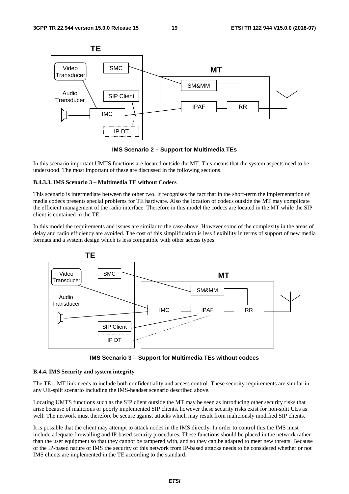

**IMS Scenario 2 – Support for Multimedia TEs** 

In this scenario important UMTS functions are located outside the MT. This means that the system aspects need to be understood. The most important of these are discussed in the following sections.

### **B.4.3.3. IMS Scenario 3 – Multimedia TE without Codecs**

This scenario is intermediate between the other two. It recognises the fact that in the short-term the implementation of media codecs presents special problems for TE hardware. Also the location of codecs outside the MT may complicate the efficient management of the radio interface. Therefore in this model the codecs are located in the MT while the SIP client is contained in the TE.

In this model the requirements and issues are similar to the case above. However some of the complexity in the areas of delay and radio efficiency are avoided. The cost of this simplification is less flexibility in terms of support of new media formats and a system design which is less compatible with other access types.



**IMS Scenario 3 – Support for Multimedia TEs without codecs** 

### **B.4.4. IMS Security and system integrity**

The TE – MT link needs to include both confidentiality and access control. These security requirements are similar in any UE-split scenario including the IMS-headset scenario described above.

Locating UMTS functions such as the SIP client outside the MT may be seen as introducing other security risks that arise because of malicious or poorly implemented SIP clients, however these security risks exist for non-split UEs as well. The network must therefore be secure against attacks which may result from maliciously modified SIP clients.

It is possible that the client may attempt to attack nodes in the IMS directly. In order to control this the IMS must include adequate firewalling and IP-based security procedures. These functions should be placed in the network rather than the user equipment so that they cannot be tampered with, and so they can be adapted to meet new threats. Because of the IP-based nature of IMS the security of this network from IP-based attacks needs to be considered whether or not IMS clients are implemented in the TE according to the standard.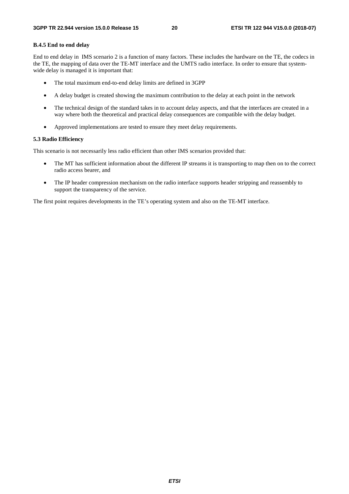### **B.4.5 End to end delay**

End to end delay in IMS scenario 2 is a function of many factors. These includes the hardware on the TE, the codecs in the TE, the mapping of data over the TE-MT interface and the UMTS radio interface. In order to ensure that systemwide delay is managed it is important that:

- The total maximum end-to-end delay limits are defined in 3GPP
- A delay budget is created showing the maximum contribution to the delay at each point in the network
- The technical design of the standard takes in to account delay aspects, and that the interfaces are created in a way where both the theoretical and practical delay consequences are compatible with the delay budget.
- Approved implementations are tested to ensure they meet delay requirements.

### **5.3 Radio Efficiency**

This scenario is not necessarily less radio efficient than other IMS scenarios provided that:

- The MT has sufficient information about the different IP streams it is transporting to map then on to the correct radio access bearer, and
- The IP header compression mechanism on the radio interface supports header stripping and reassembly to support the transparency of the service.

The first point requires developments in the TE's operating system and also on the TE-MT interface.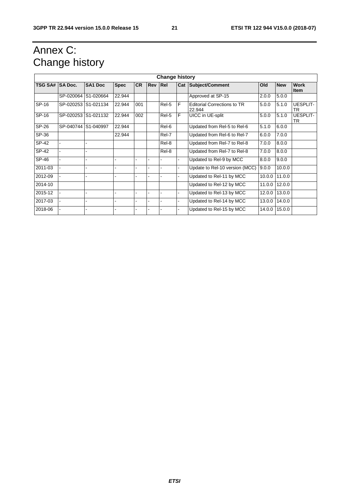## Annex C: Change history

| <b>Change history</b> |                |                     |                          |           |                |       |     |                                              |        |            |                              |
|-----------------------|----------------|---------------------|--------------------------|-----------|----------------|-------|-----|----------------------------------------------|--------|------------|------------------------------|
| <b>TSG SA#</b>        | <b>SA Doc.</b> | <b>SA1 Doc</b>      | <b>Spec</b>              | <b>CR</b> | <b>Rev Rel</b> |       | Cat | Subject/Comment                              | Old    | <b>New</b> | <b>Work</b><br><b>Item</b>   |
|                       |                | SP-020064 S1-020664 | 22.944                   |           |                |       |     | Approved at SP-15                            | 2.0.0  | 5.0.0      |                              |
| SP-16                 |                | SP-020253 S1-021134 | 22.944                   | 001       |                | Rel-5 | F   | <b>Editorial Corrections to TR</b><br>22.944 | 5.0.0  | 5.1.0      | <b>UESPLIT-</b><br><b>TR</b> |
| SP-16                 |                | SP-020253 S1-021132 | 22.944                   | 002       |                | Rel-5 | F   | UICC in UE-split                             | 5.0.0  | 5.1.0      | UESPLIT-<br><b>TR</b>        |
| SP-26                 |                | SP-040744 S1-040997 | 22.944                   |           |                | Rel-6 |     | Updated from Rel-5 to Rel-6                  | 5.1.0  | 6.0.0      |                              |
| SP-36                 |                |                     | 22.944                   |           |                | Rel-7 |     | Updated from Rel-6 to Rel-7                  | 6.0.0  | 7.0.0      |                              |
| SP-42                 |                |                     |                          |           |                | Rel-8 |     | Updated from Rel-7 to Rel-8                  | 7.0.0  | 8.0.0      |                              |
| $SP-42$               |                |                     |                          |           |                | Rel-8 |     | Updated from Rel-7 to Rel-8                  | 7.0.0  | 8.0.0      |                              |
| SP-46                 |                |                     | $\overline{\phantom{a}}$ |           |                |       |     | Updated to Rel-9 by MCC                      | 8.0.0  | 9.0.0      |                              |
| 2011-03               |                |                     | $\overline{\phantom{a}}$ |           | ۰              |       |     | Update to Rel-10 version (MCC)               | 9.0.0  | 10.0.0     |                              |
| 2012-09               |                |                     |                          |           |                |       |     | Updated to Rel-11 by MCC                     | 10.0.0 | 11.0.0     |                              |
| 2014-10               |                |                     |                          |           |                |       |     | Updated to Rel-12 by MCC                     | 11.0.0 | 12.0.0     |                              |
| 2015-12               |                |                     |                          |           |                |       |     | Updated to Rel-13 by MCC                     | 12.0.0 | 13.0.0     |                              |
| 2017-03               |                |                     | $\overline{\phantom{a}}$ |           |                |       |     | Updated to Rel-14 by MCC                     | 13.0.0 | 14.0.0     |                              |
| 2018-06               |                |                     | $\overline{\phantom{a}}$ |           |                |       |     | Updated to Rel-15 by MCC                     | 14.0.0 | 15.0.0     |                              |